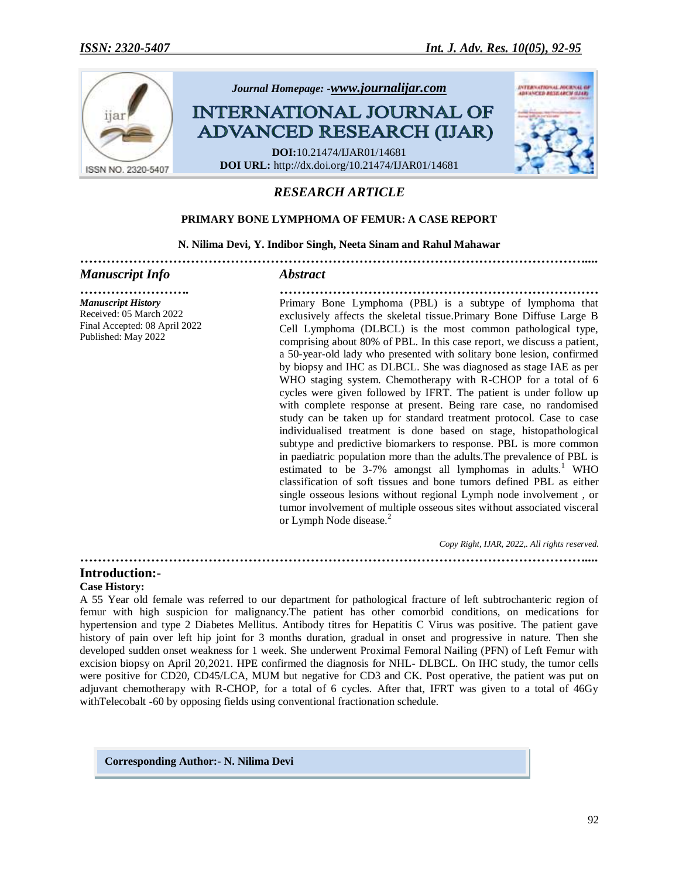

# *RESEARCH ARTICLE*

## **PRIMARY BONE LYMPHOMA OF FEMUR: A CASE REPORT**

#### **N. Nilima Devi, Y. Indibor Singh, Neeta Sinam and Rahul Mahawar**

*……………………………………………………………………………………………………....*

#### *Manuscript Info Abstract*

### *Manuscript History* Received: 05 March 2022 Final Accepted: 08 April 2022 Published: May 2022

*……………………. ………………………………………………………………* Primary Bone Lymphoma (PBL) is a subtype of lymphoma that exclusively affects the skeletal tissue.Primary Bone Diffuse Large B Cell Lymphoma (DLBCL) is the most common pathological type, comprising about 80% of PBL. In this case report, we discuss a patient, a 50-year-old lady who presented with solitary bone lesion, confirmed by biopsy and IHC as DLBCL. She was diagnosed as stage IAE as per WHO staging system. Chemotherapy with R-CHOP for a total of 6 cycles were given followed by IFRT. The patient is under follow up with complete response at present. Being rare case, no randomised study can be taken up for standard treatment protocol. Case to case individualised treatment is done based on stage, histopathological subtype and predictive biomarkers to response. PBL is more common in paediatric population more than the adults.The prevalence of PBL is estimated to be  $3-7%$  amongst all lymphomas in adults.<sup>1</sup> WHO classification of soft tissues and bone tumors defined PBL as either single osseous lesions without regional Lymph node involvement , or tumor involvement of multiple osseous sites without associated visceral or Lymph Node disease.<sup>2</sup>

*Copy Right, IJAR, 2022,. All rights reserved.*

*……………………………………………………………………………………………………....*

## **Introduction:-**

#### **Case History:**

A 55 Year old female was referred to our department for pathological fracture of left subtrochanteric region of femur with high suspicion for malignancy.The patient has other comorbid conditions, on medications for hypertension and type 2 Diabetes Mellitus. Antibody titres for Hepatitis C Virus was positive. The patient gave history of pain over left hip joint for 3 months duration, gradual in onset and progressive in nature. Then she developed sudden onset weakness for 1 week. She underwent Proximal Femoral Nailing (PFN) of Left Femur with excision biopsy on April 20,2021. HPE confirmed the diagnosis for NHL- DLBCL. On IHC study, the tumor cells were positive for CD20, CD45/LCA, MUM but negative for CD3 and CK. Post operative, the patient was put on adjuvant chemotherapy with R-CHOP, for a total of 6 cycles. After that, IFRT was given to a total of 46Gy withTelecobalt -60 by opposing fields using conventional fractionation schedule.

**Corresponding Author:- N. Nilima Devi**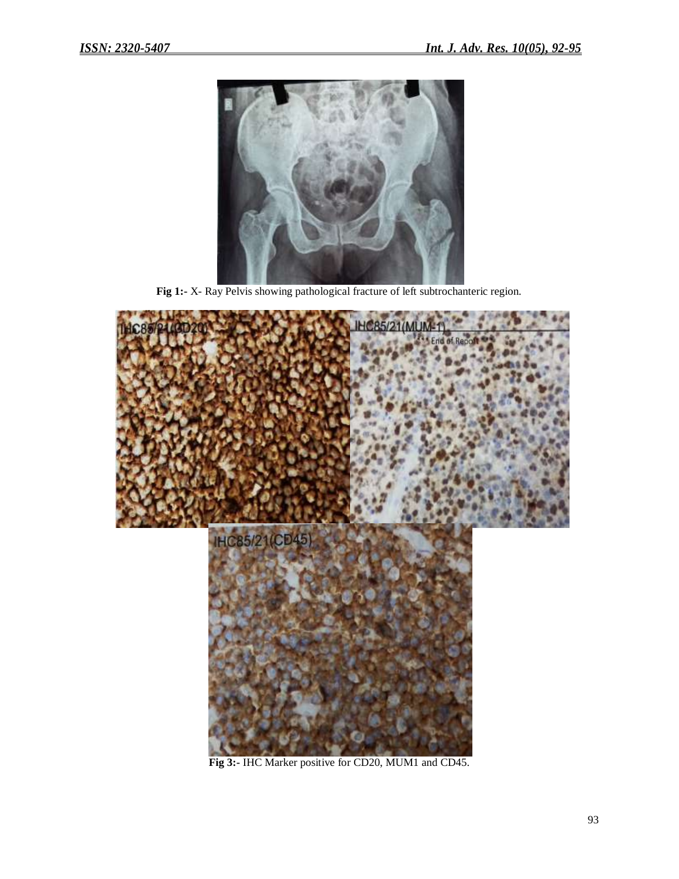

**Fig 1:-** X- Ray Pelvis showing pathological fracture of left subtrochanteric region.



**Fig 3:-** IHC Marker positive for CD20, MUM1 and CD45.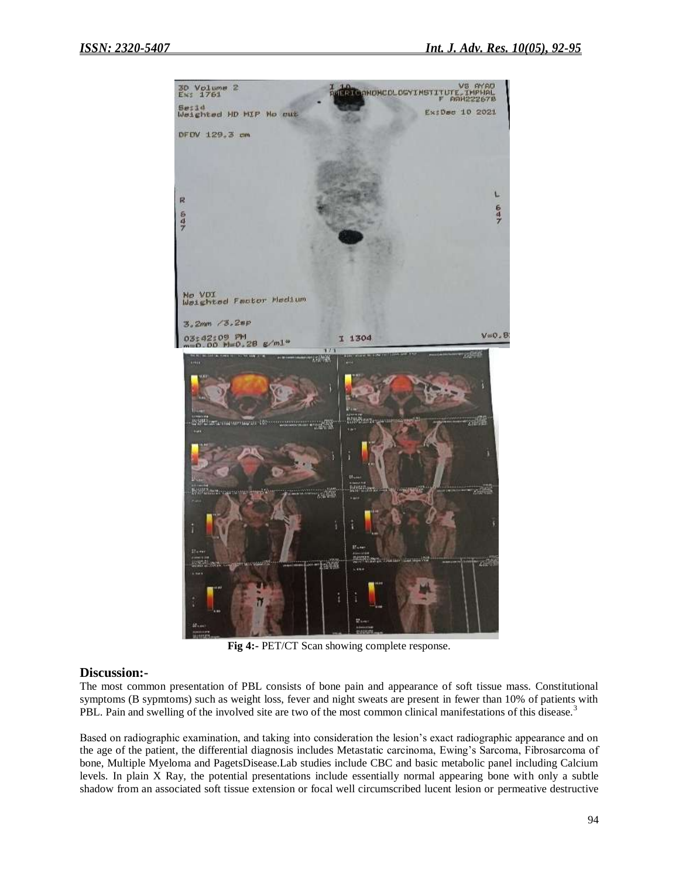

**Fig 4:-** PET/CT Scan showing complete response.

### **Discussion:-**

The most common presentation of PBL consists of bone pain and appearance of soft tissue mass. Constitutional symptoms (B sypmtoms) such as weight loss, fever and night sweats are present in fewer than 10% of patients with PBL. Pain and swelling of the involved site are two of the most common clinical manifestations of this disease.<sup>3</sup>

Based on radiographic examination, and taking into consideration the lesion's exact radiographic appearance and on the age of the patient, the differential diagnosis includes Metastatic carcinoma, Ewing's Sarcoma, Fibrosarcoma of bone, Multiple Myeloma and PagetsDisease.Lab studies include CBC and basic metabolic panel including Calcium levels. In plain X Ray, the potential presentations include essentially normal appearing bone with only a subtle shadow from an associated soft tissue extension or focal well circumscribed lucent lesion or permeative destructive